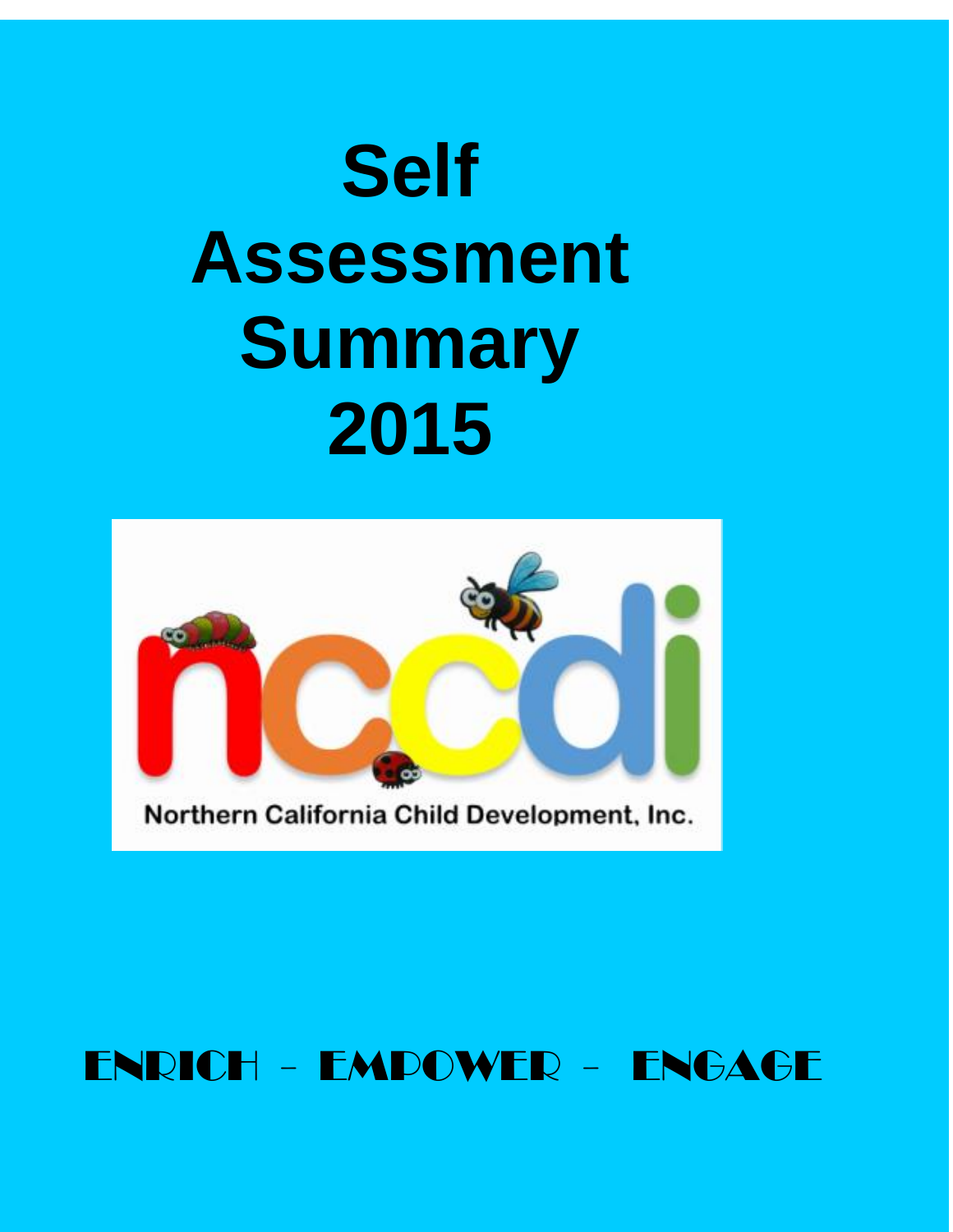# **Self Assessment Summary 2015**



Northern California Child Development, Inc.

# ENRICH - EMPOWER - ENGAGE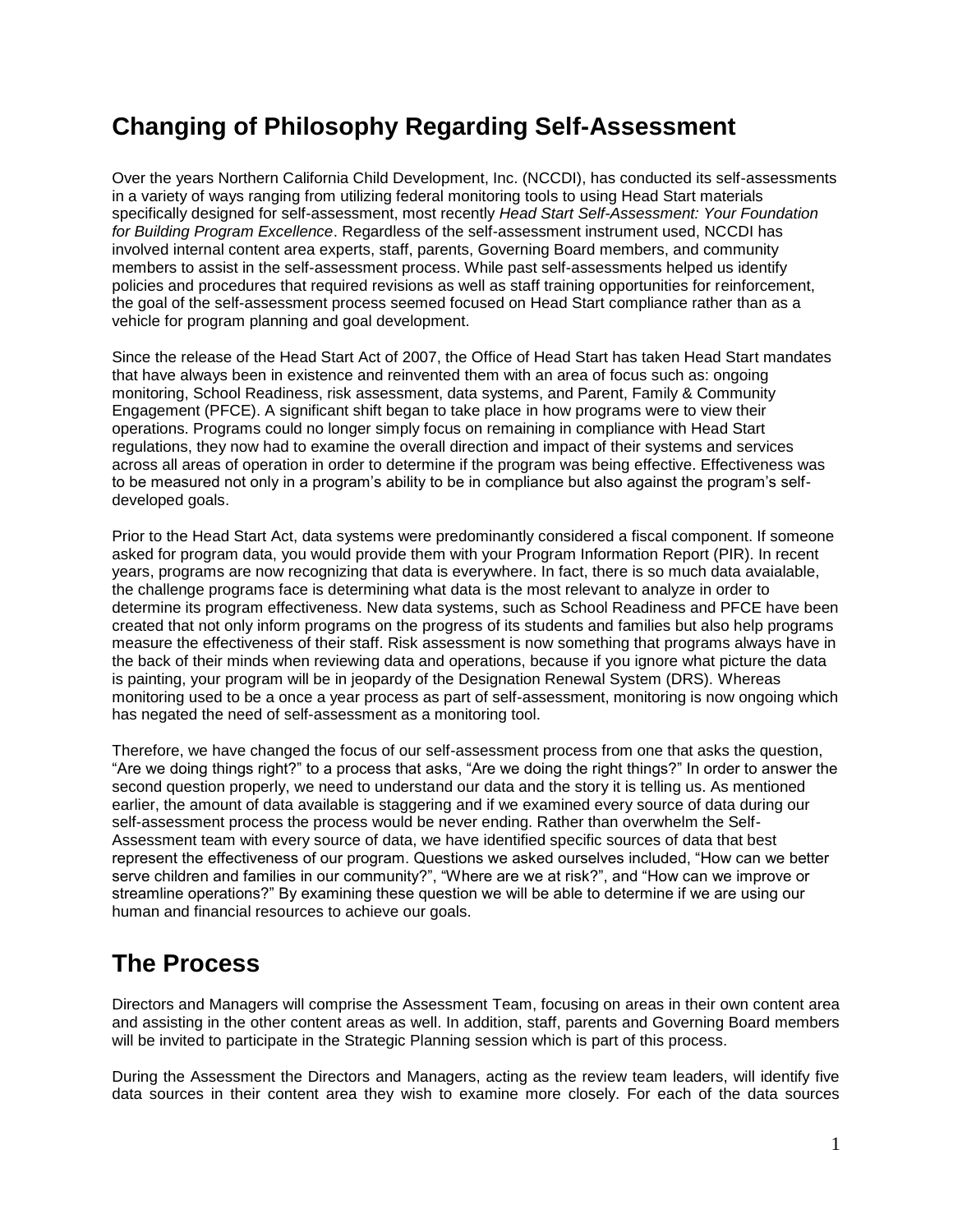## **Changing of Philosophy Regarding Self-Assessment**

Over the years Northern California Child Development, Inc. (NCCDI), has conducted its self-assessments in a variety of ways ranging from utilizing federal monitoring tools to using Head Start materials specifically designed for self-assessment, most recently *Head Start Self-Assessment: Your Foundation for Building Program Excellence*. Regardless of the self-assessment instrument used, NCCDI has involved internal content area experts, staff, parents, Governing Board members, and community members to assist in the self-assessment process. While past self-assessments helped us identify policies and procedures that required revisions as well as staff training opportunities for reinforcement, the goal of the self-assessment process seemed focused on Head Start compliance rather than as a vehicle for program planning and goal development.

Since the release of the Head Start Act of 2007, the Office of Head Start has taken Head Start mandates that have always been in existence and reinvented them with an area of focus such as: ongoing monitoring, School Readiness, risk assessment, data systems, and Parent, Family & Community Engagement (PFCE). A significant shift began to take place in how programs were to view their operations. Programs could no longer simply focus on remaining in compliance with Head Start regulations, they now had to examine the overall direction and impact of their systems and services across all areas of operation in order to determine if the program was being effective. Effectiveness was to be measured not only in a program's ability to be in compliance but also against the program's selfdeveloped goals.

Prior to the Head Start Act, data systems were predominantly considered a fiscal component. If someone asked for program data, you would provide them with your Program Information Report (PIR). In recent years, programs are now recognizing that data is everywhere. In fact, there is so much data avaialable, the challenge programs face is determining what data is the most relevant to analyze in order to determine its program effectiveness. New data systems, such as School Readiness and PFCE have been created that not only inform programs on the progress of its students and families but also help programs measure the effectiveness of their staff. Risk assessment is now something that programs always have in the back of their minds when reviewing data and operations, because if you ignore what picture the data is painting, your program will be in jeopardy of the Designation Renewal System (DRS). Whereas monitoring used to be a once a year process as part of self-assessment, monitoring is now ongoing which has negated the need of self-assessment as a monitoring tool.

Therefore, we have changed the focus of our self-assessment process from one that asks the question, "Are we doing things right?" to a process that asks, "Are we doing the right things?" In order to answer the second question properly, we need to understand our data and the story it is telling us. As mentioned earlier, the amount of data available is staggering and if we examined every source of data during our self-assessment process the process would be never ending. Rather than overwhelm the Self-Assessment team with every source of data, we have identified specific sources of data that best represent the effectiveness of our program. Questions we asked ourselves included, "How can we better serve children and families in our community?", "Where are we at risk?", and "How can we improve or streamline operations?" By examining these question we will be able to determine if we are using our human and financial resources to achieve our goals.

### **The Process**

Directors and Managers will comprise the Assessment Team, focusing on areas in their own content area and assisting in the other content areas as well. In addition, staff, parents and Governing Board members will be invited to participate in the Strategic Planning session which is part of this process.

During the Assessment the Directors and Managers, acting as the review team leaders, will identify five data sources in their content area they wish to examine more closely. For each of the data sources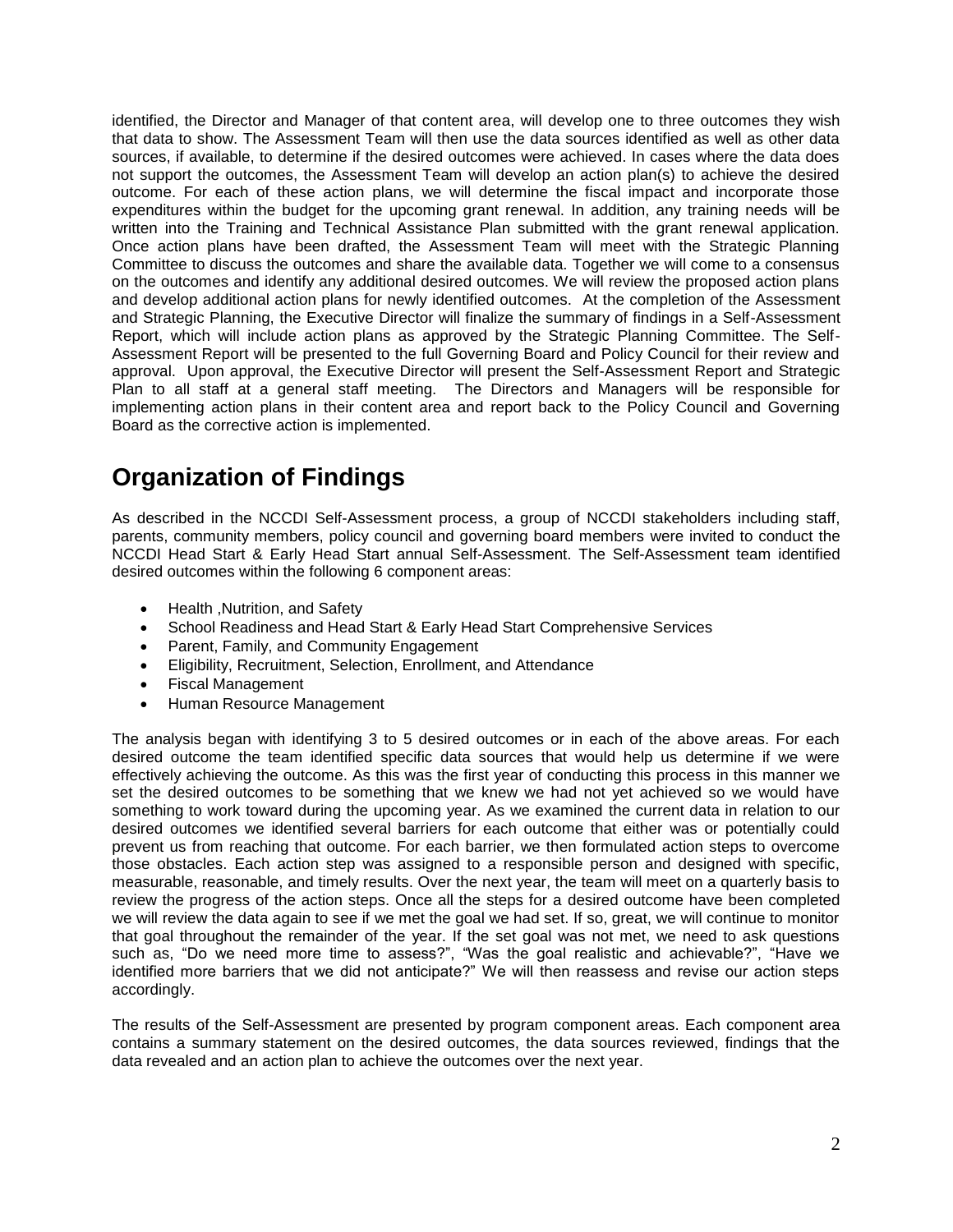identified, the Director and Manager of that content area, will develop one to three outcomes they wish that data to show. The Assessment Team will then use the data sources identified as well as other data sources, if available, to determine if the desired outcomes were achieved. In cases where the data does not support the outcomes, the Assessment Team will develop an action plan(s) to achieve the desired outcome. For each of these action plans, we will determine the fiscal impact and incorporate those expenditures within the budget for the upcoming grant renewal. In addition, any training needs will be written into the Training and Technical Assistance Plan submitted with the grant renewal application. Once action plans have been drafted, the Assessment Team will meet with the Strategic Planning Committee to discuss the outcomes and share the available data. Together we will come to a consensus on the outcomes and identify any additional desired outcomes. We will review the proposed action plans and develop additional action plans for newly identified outcomes. At the completion of the Assessment and Strategic Planning, the Executive Director will finalize the summary of findings in a Self-Assessment Report, which will include action plans as approved by the Strategic Planning Committee. The Self-Assessment Report will be presented to the full Governing Board and Policy Council for their review and approval. Upon approval, the Executive Director will present the Self-Assessment Report and Strategic Plan to all staff at a general staff meeting. The Directors and Managers will be responsible for implementing action plans in their content area and report back to the Policy Council and Governing Board as the corrective action is implemented.

# **Organization of Findings**

As described in the NCCDI Self-Assessment process, a group of NCCDI stakeholders including staff, parents, community members, policy council and governing board members were invited to conduct the NCCDI Head Start & Early Head Start annual Self-Assessment. The Self-Assessment team identified desired outcomes within the following 6 component areas:

- Health , Nutrition, and Safety
- School Readiness and Head Start & Early Head Start Comprehensive Services
- Parent, Family, and Community Engagement
- Eligibility, Recruitment, Selection, Enrollment, and Attendance
- Fiscal Management
- Human Resource Management

The analysis began with identifying 3 to 5 desired outcomes or in each of the above areas. For each desired outcome the team identified specific data sources that would help us determine if we were effectively achieving the outcome. As this was the first year of conducting this process in this manner we set the desired outcomes to be something that we knew we had not yet achieved so we would have something to work toward during the upcoming year. As we examined the current data in relation to our desired outcomes we identified several barriers for each outcome that either was or potentially could prevent us from reaching that outcome. For each barrier, we then formulated action steps to overcome those obstacles. Each action step was assigned to a responsible person and designed with specific, measurable, reasonable, and timely results. Over the next year, the team will meet on a quarterly basis to review the progress of the action steps. Once all the steps for a desired outcome have been completed we will review the data again to see if we met the goal we had set. If so, great, we will continue to monitor that goal throughout the remainder of the year. If the set goal was not met, we need to ask questions such as, "Do we need more time to assess?", "Was the goal realistic and achievable?", "Have we identified more barriers that we did not anticipate?" We will then reassess and revise our action steps accordingly.

The results of the Self-Assessment are presented by program component areas. Each component area contains a summary statement on the desired outcomes, the data sources reviewed, findings that the data revealed and an action plan to achieve the outcomes over the next year.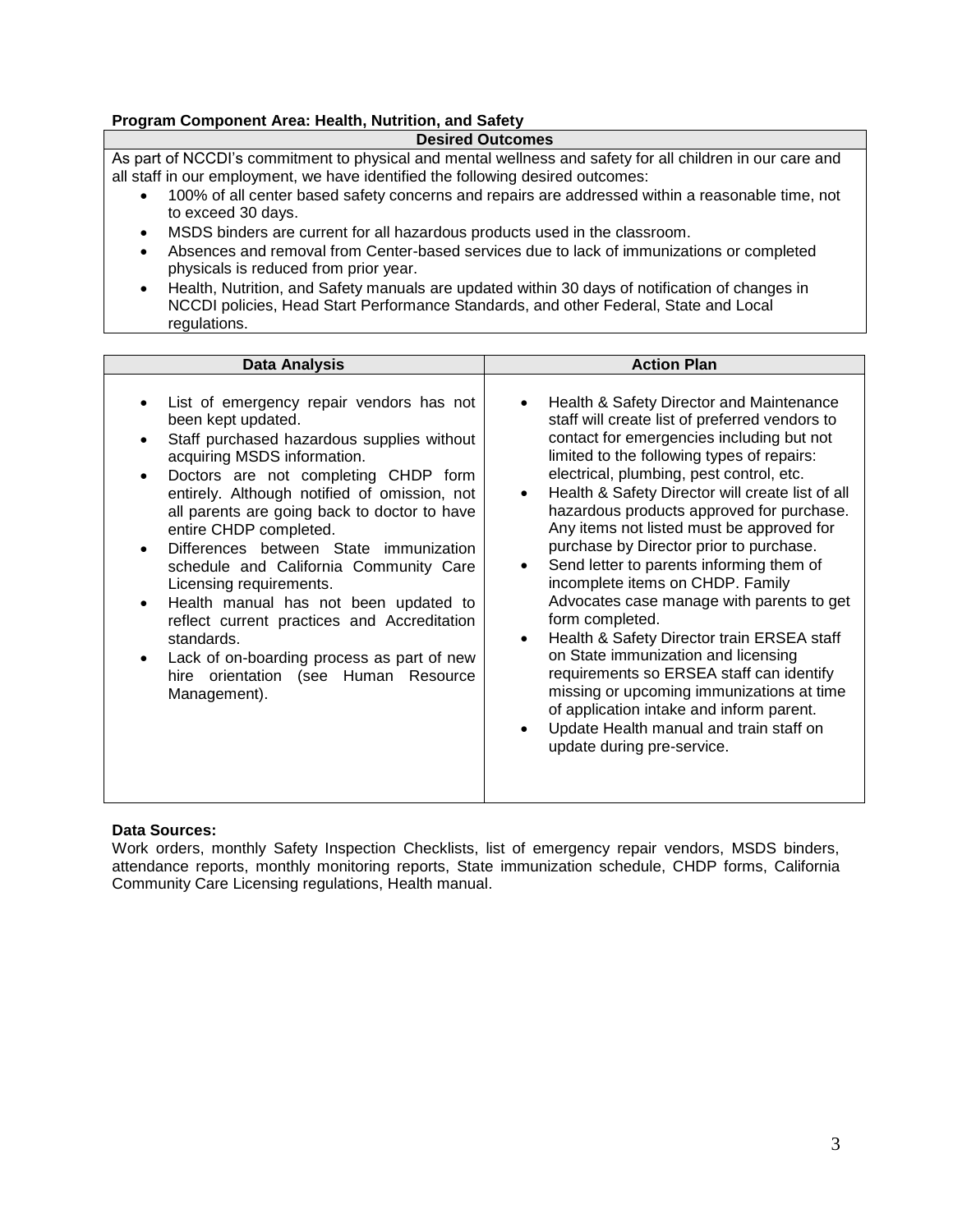#### **Program Component Area: Health, Nutrition, and Safety**

#### **Desired Outcomes**

As part of NCCDI's commitment to physical and mental wellness and safety for all children in our care and all staff in our employment, we have identified the following desired outcomes:

- 100% of all center based safety concerns and repairs are addressed within a reasonable time, not to exceed 30 days.
- MSDS binders are current for all hazardous products used in the classroom.
- Absences and removal from Center-based services due to lack of immunizations or completed physicals is reduced from prior year.
- Health, Nutrition, and Safety manuals are updated within 30 days of notification of changes in NCCDI policies, Head Start Performance Standards, and other Federal, State and Local regulations.

| <b>Data Analysis</b>                                                                                                                                                                                                                                                                                                                                                                                                                                                                                                                                                                                                                                  | <b>Action Plan</b>                                                                                                                                                                                                                                                                                                                                                                                                                                                                                                                                                                                                                                                                                                                                                                                                                                                                                                                             |
|-------------------------------------------------------------------------------------------------------------------------------------------------------------------------------------------------------------------------------------------------------------------------------------------------------------------------------------------------------------------------------------------------------------------------------------------------------------------------------------------------------------------------------------------------------------------------------------------------------------------------------------------------------|------------------------------------------------------------------------------------------------------------------------------------------------------------------------------------------------------------------------------------------------------------------------------------------------------------------------------------------------------------------------------------------------------------------------------------------------------------------------------------------------------------------------------------------------------------------------------------------------------------------------------------------------------------------------------------------------------------------------------------------------------------------------------------------------------------------------------------------------------------------------------------------------------------------------------------------------|
| List of emergency repair vendors has not<br>been kept updated.<br>Staff purchased hazardous supplies without<br>acquiring MSDS information.<br>Doctors are not completing CHDP form<br>$\bullet$<br>entirely. Although notified of omission, not<br>all parents are going back to doctor to have<br>entire CHDP completed.<br>Differences between State immunization<br>schedule and California Community Care<br>Licensing requirements.<br>Health manual has not been updated to<br>reflect current practices and Accreditation<br>standards.<br>Lack of on-boarding process as part of new<br>hire orientation (see Human Resource<br>Management). | Health & Safety Director and Maintenance<br>$\bullet$<br>staff will create list of preferred vendors to<br>contact for emergencies including but not<br>limited to the following types of repairs:<br>electrical, plumbing, pest control, etc.<br>Health & Safety Director will create list of all<br>$\bullet$<br>hazardous products approved for purchase.<br>Any items not listed must be approved for<br>purchase by Director prior to purchase.<br>Send letter to parents informing them of<br>$\bullet$<br>incomplete items on CHDP. Family<br>Advocates case manage with parents to get<br>form completed.<br>Health & Safety Director train ERSEA staff<br>$\bullet$<br>on State immunization and licensing<br>requirements so ERSEA staff can identify<br>missing or upcoming immunizations at time<br>of application intake and inform parent.<br>Update Health manual and train staff on<br>$\bullet$<br>update during pre-service. |

#### **Data Sources:**

Work orders, monthly Safety Inspection Checklists, list of emergency repair vendors, MSDS binders, attendance reports, monthly monitoring reports, State immunization schedule, CHDP forms, California Community Care Licensing regulations, Health manual.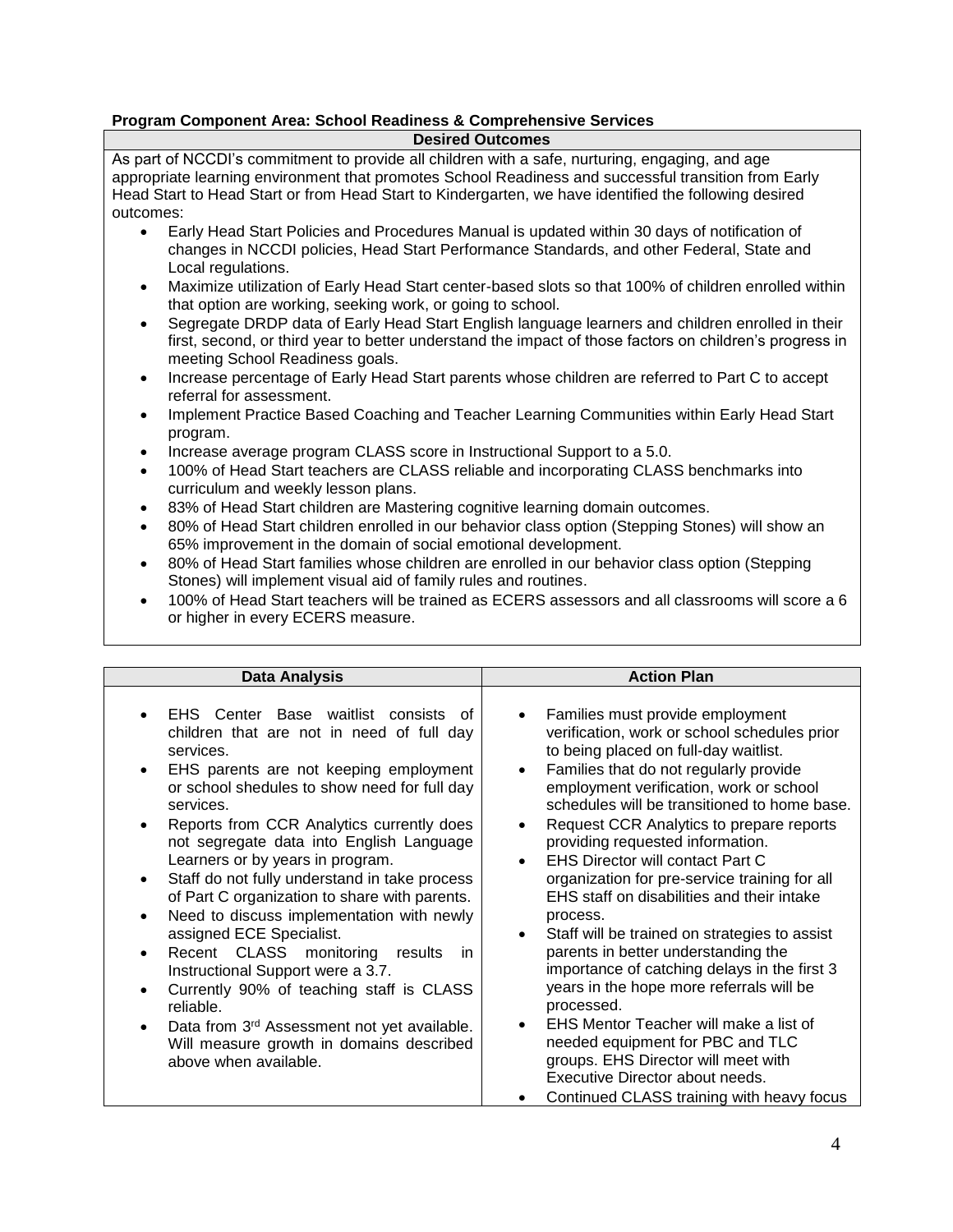#### **Program Component Area: School Readiness & Comprehensive Services**

#### **Desired Outcomes**

As part of NCCDI's commitment to provide all children with a safe, nurturing, engaging, and age appropriate learning environment that promotes School Readiness and successful transition from Early Head Start to Head Start or from Head Start to Kindergarten, we have identified the following desired outcomes:

- Early Head Start Policies and Procedures Manual is updated within 30 days of notification of changes in NCCDI policies, Head Start Performance Standards, and other Federal, State and Local regulations.
- Maximize utilization of Early Head Start center-based slots so that 100% of children enrolled within that option are working, seeking work, or going to school.
- Segregate DRDP data of Early Head Start English language learners and children enrolled in their first, second, or third year to better understand the impact of those factors on children's progress in meeting School Readiness goals.
- Increase percentage of Early Head Start parents whose children are referred to Part C to accept referral for assessment.
- Implement Practice Based Coaching and Teacher Learning Communities within Early Head Start program.
- Increase average program CLASS score in Instructional Support to a 5.0.
- 100% of Head Start teachers are CLASS reliable and incorporating CLASS benchmarks into curriculum and weekly lesson plans.
- 83% of Head Start children are Mastering cognitive learning domain outcomes.
- 80% of Head Start children enrolled in our behavior class option (Stepping Stones) will show an 65% improvement in the domain of social emotional development.
- 80% of Head Start families whose children are enrolled in our behavior class option (Stepping Stones) will implement visual aid of family rules and routines.
- 100% of Head Start teachers will be trained as ECERS assessors and all classrooms will score a 6 or higher in every ECERS measure.

| <b>Data Analysis</b>                                                                                                                                                                                                                                                                                                                                                                                                                                                                                                                                                                                                                                                                                                                                                                                                                                                         | <b>Action Plan</b>                                                                                                                                                                                                                                                                                                                                                                                                                                                                                                                                                                                                                                                                                                                                                                                                                                                                                                                                                                        |
|------------------------------------------------------------------------------------------------------------------------------------------------------------------------------------------------------------------------------------------------------------------------------------------------------------------------------------------------------------------------------------------------------------------------------------------------------------------------------------------------------------------------------------------------------------------------------------------------------------------------------------------------------------------------------------------------------------------------------------------------------------------------------------------------------------------------------------------------------------------------------|-------------------------------------------------------------------------------------------------------------------------------------------------------------------------------------------------------------------------------------------------------------------------------------------------------------------------------------------------------------------------------------------------------------------------------------------------------------------------------------------------------------------------------------------------------------------------------------------------------------------------------------------------------------------------------------------------------------------------------------------------------------------------------------------------------------------------------------------------------------------------------------------------------------------------------------------------------------------------------------------|
| EHS Center Base waitlist consists of<br>$\bullet$<br>children that are not in need of full day<br>services.<br>EHS parents are not keeping employment<br>$\bullet$<br>or school shedules to show need for full day<br>services.<br>Reports from CCR Analytics currently does<br>$\bullet$<br>not segregate data into English Language<br>Learners or by years in program.<br>Staff do not fully understand in take process<br>٠<br>of Part C organization to share with parents.<br>Need to discuss implementation with newly<br>$\bullet$<br>assigned ECE Specialist.<br>Recent CLASS monitoring<br>results<br>in.<br>$\bullet$<br>Instructional Support were a 3.7.<br>Currently 90% of teaching staff is CLASS<br>$\bullet$<br>reliable.<br>Data from 3rd Assessment not yet available.<br>$\bullet$<br>Will measure growth in domains described<br>above when available. | Families must provide employment<br>$\bullet$<br>verification, work or school schedules prior<br>to being placed on full-day waitlist.<br>Families that do not regularly provide<br>$\bullet$<br>employment verification, work or school<br>schedules will be transitioned to home base.<br>Request CCR Analytics to prepare reports<br>$\bullet$<br>providing requested information.<br><b>EHS Director will contact Part C</b><br>$\bullet$<br>organization for pre-service training for all<br>EHS staff on disabilities and their intake<br>process.<br>Staff will be trained on strategies to assist<br>$\bullet$<br>parents in better understanding the<br>importance of catching delays in the first 3<br>years in the hope more referrals will be<br>processed.<br>EHS Mentor Teacher will make a list of<br>$\bullet$<br>needed equipment for PBC and TLC<br>groups. EHS Director will meet with<br>Executive Director about needs.<br>Continued CLASS training with heavy focus |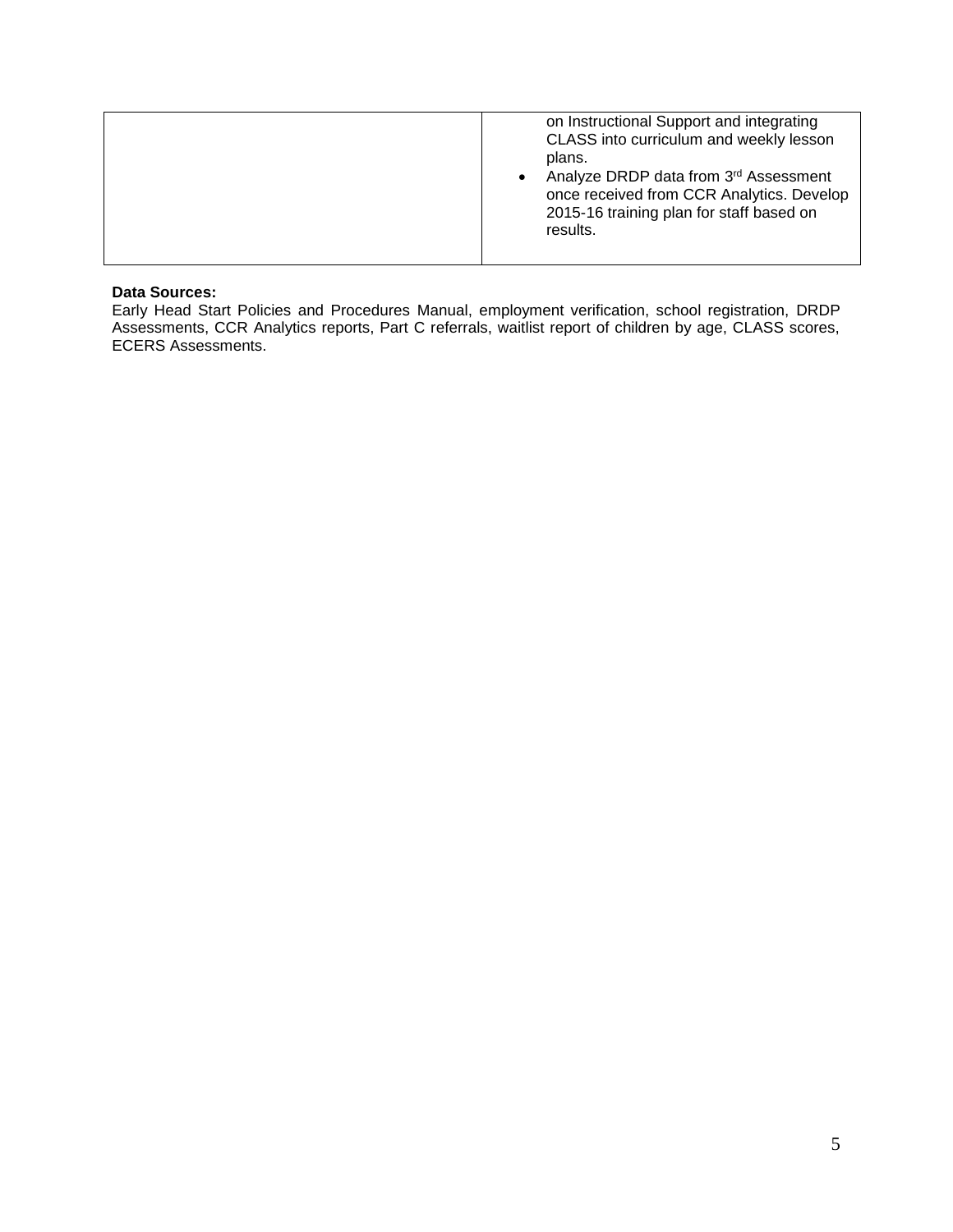#### **Data Sources:**

Early Head Start Policies and Procedures Manual, employment verification, school registration, DRDP Assessments, CCR Analytics reports, Part C referrals, waitlist report of children by age, CLASS scores, ECERS Assessments.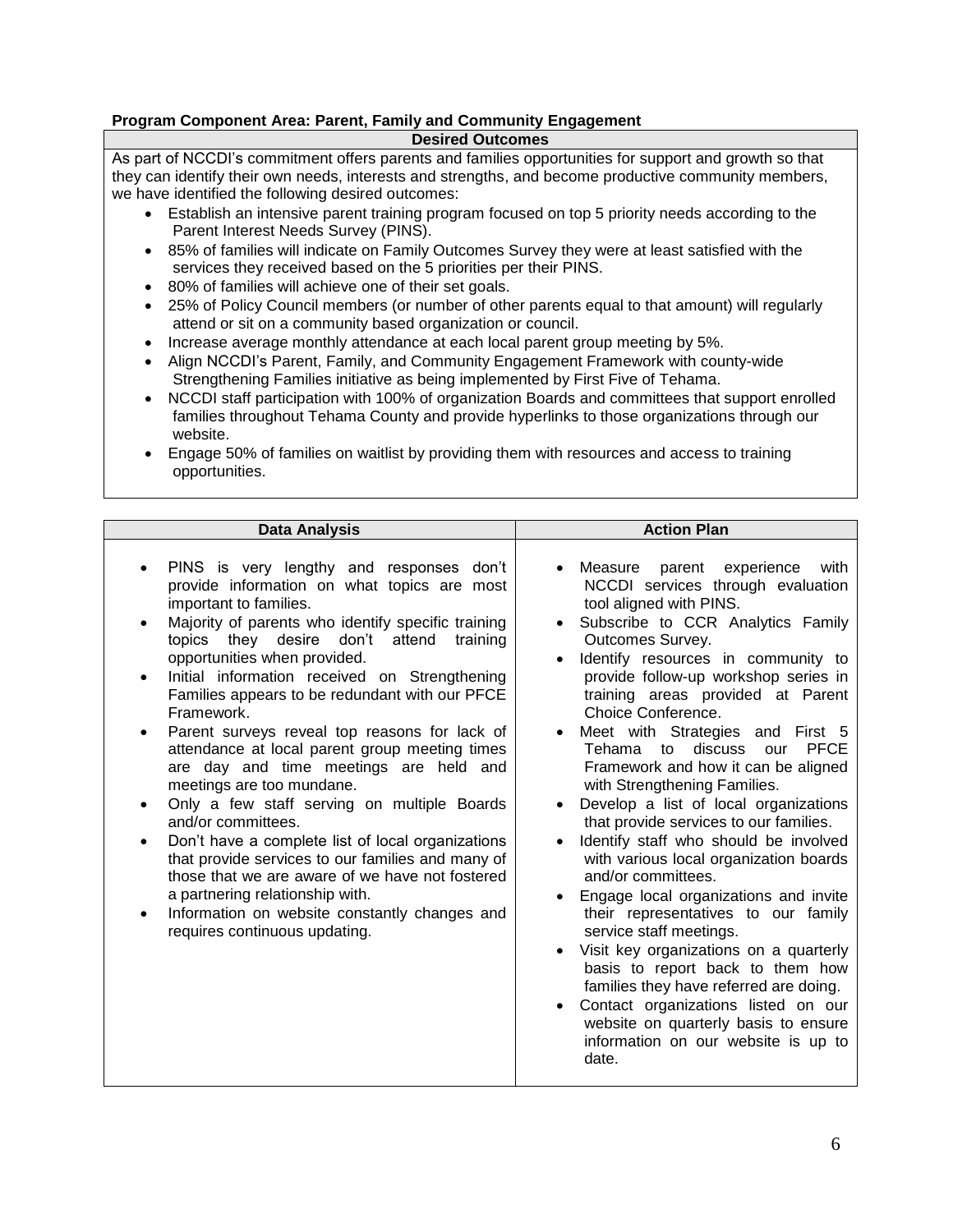#### **Program Component Area: Parent, Family and Community Engagement**

#### **Desired Outcomes**

As part of NCCDI's commitment offers parents and families opportunities for support and growth so that they can identify their own needs, interests and strengths, and become productive community members, we have identified the following desired outcomes:

- Establish an intensive parent training program focused on top 5 priority needs according to the Parent Interest Needs Survey (PINS).
- 85% of families will indicate on Family Outcomes Survey they were at least satisfied with the services they received based on the 5 priorities per their PINS.
- 80% of families will achieve one of their set goals.
- 25% of Policy Council members (or number of other parents equal to that amount) will regularly attend or sit on a community based organization or council.
- Increase average monthly attendance at each local parent group meeting by 5%.
- Align NCCDI's Parent, Family, and Community Engagement Framework with county-wide Strengthening Families initiative as being implemented by First Five of Tehama.
- NCCDI staff participation with 100% of organization Boards and committees that support enrolled families throughout Tehama County and provide hyperlinks to those organizations through our website.
- Engage 50% of families on waitlist by providing them with resources and access to training opportunities.

| <b>Data Analysis</b>                                                                                                                                                                                                                                                                                                                                                                                                                                                                                                                                                                                                                                                                                                                                                                                                                                                                                           | <b>Action Plan</b>                                                                                                                                                                                                                                                                                                                                                                                                                                                                                                                                                                                                                                                                                                                                                                                                                                                                                                                                                                                                            |
|----------------------------------------------------------------------------------------------------------------------------------------------------------------------------------------------------------------------------------------------------------------------------------------------------------------------------------------------------------------------------------------------------------------------------------------------------------------------------------------------------------------------------------------------------------------------------------------------------------------------------------------------------------------------------------------------------------------------------------------------------------------------------------------------------------------------------------------------------------------------------------------------------------------|-------------------------------------------------------------------------------------------------------------------------------------------------------------------------------------------------------------------------------------------------------------------------------------------------------------------------------------------------------------------------------------------------------------------------------------------------------------------------------------------------------------------------------------------------------------------------------------------------------------------------------------------------------------------------------------------------------------------------------------------------------------------------------------------------------------------------------------------------------------------------------------------------------------------------------------------------------------------------------------------------------------------------------|
| PINS is very lengthy and responses don't<br>provide information on what topics are most<br>important to families.<br>Majority of parents who identify specific training<br>topics they desire<br>don't<br>attend<br>training<br>opportunities when provided.<br>Initial information received on Strengthening<br>Families appears to be redundant with our PFCE<br>Framework.<br>Parent surveys reveal top reasons for lack of<br>attendance at local parent group meeting times<br>are day and time meetings are held and<br>meetings are too mundane.<br>Only a few staff serving on multiple Boards<br>and/or committees.<br>Don't have a complete list of local organizations<br>that provide services to our families and many of<br>those that we are aware of we have not fostered<br>a partnering relationship with.<br>Information on website constantly changes and<br>requires continuous updating. | Measure parent experience<br>with<br>NCCDI services through evaluation<br>tool aligned with PINS.<br>Subscribe to CCR Analytics Family<br>Outcomes Survey.<br>Identify resources in community to<br>provide follow-up workshop series in<br>training areas provided at Parent<br>Choice Conference.<br>Meet with Strategies and First 5<br>discuss<br><b>PFCE</b><br>Tehama<br>to<br>our<br>Framework and how it can be aligned<br>with Strengthening Families.<br>Develop a list of local organizations<br>that provide services to our families.<br>Identify staff who should be involved<br>with various local organization boards<br>and/or committees.<br>Engage local organizations and invite<br>their representatives to our family<br>service staff meetings.<br>Visit key organizations on a quarterly<br>basis to report back to them how<br>families they have referred are doing.<br>Contact organizations listed on our<br>website on quarterly basis to ensure<br>information on our website is up to<br>date. |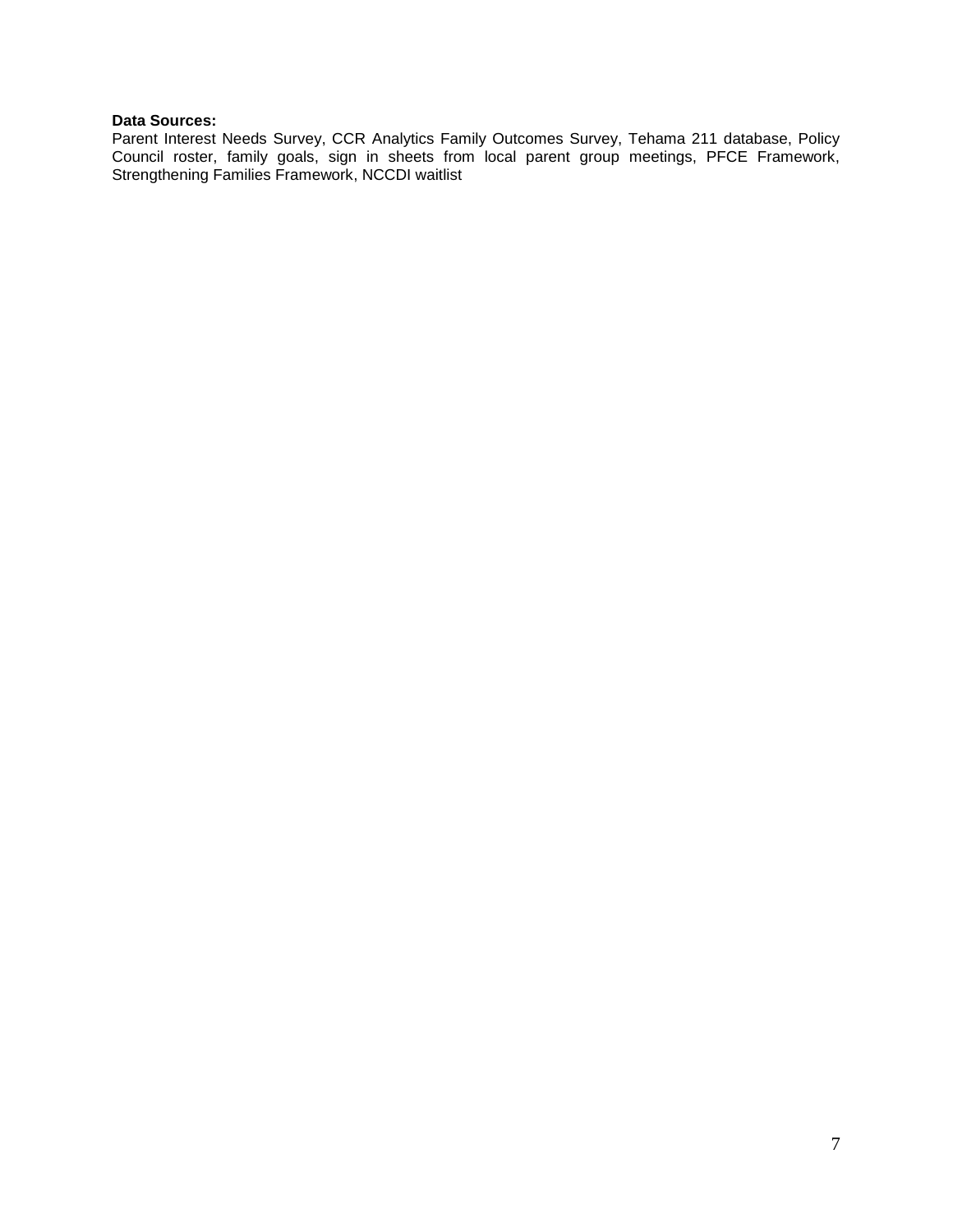#### **Data Sources:**

Parent Interest Needs Survey, CCR Analytics Family Outcomes Survey, Tehama 211 database, Policy Council roster, family goals, sign in sheets from local parent group meetings, PFCE Framework, Strengthening Families Framework, NCCDI waitlist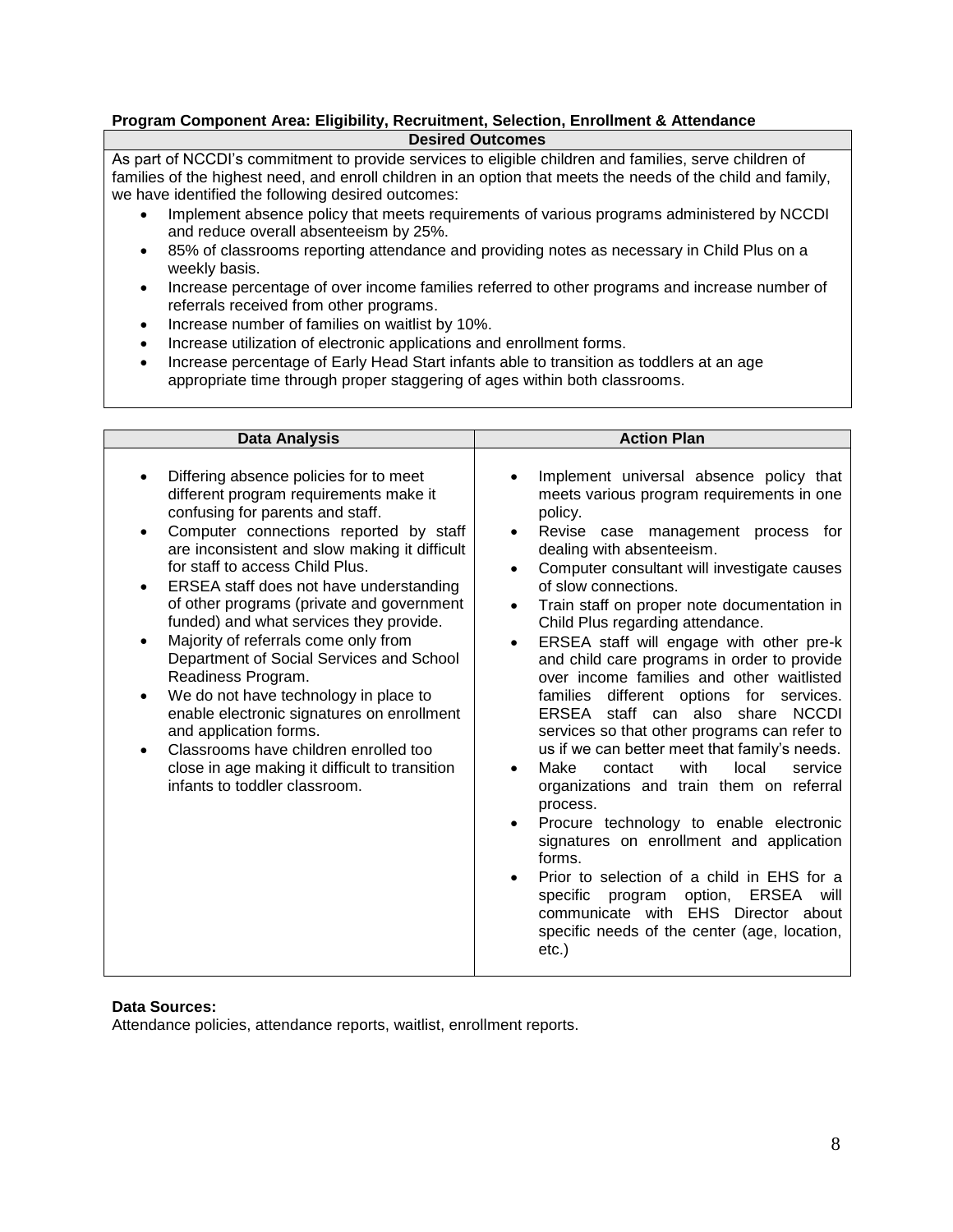#### **Program Component Area: Eligibility, Recruitment, Selection, Enrollment & Attendance Desired Outcomes**

As part of NCCDI's commitment to provide services to eligible children and families, serve children of families of the highest need, and enroll children in an option that meets the needs of the child and family, we have identified the following desired outcomes:

- Implement absence policy that meets requirements of various programs administered by NCCDI and reduce overall absenteeism by 25%.
- 85% of classrooms reporting attendance and providing notes as necessary in Child Plus on a weekly basis.
- Increase percentage of over income families referred to other programs and increase number of referrals received from other programs.
- Increase number of families on waitlist by 10%.
- Increase utilization of electronic applications and enrollment forms.
- Increase percentage of Early Head Start infants able to transition as toddlers at an age appropriate time through proper staggering of ages within both classrooms.

| <b>Data Analysis</b>                                                                                                                                                                                                                                                                                                                                                                                                                                                                                                                                                                                                                                                                                                                                           | <b>Action Plan</b>                                                                                                                                                                                                                                                                                                                                                                                                                                                                                                                                                                                                                                                                                                                                                                                                                                                                                                                                                                                                                                                                             |
|----------------------------------------------------------------------------------------------------------------------------------------------------------------------------------------------------------------------------------------------------------------------------------------------------------------------------------------------------------------------------------------------------------------------------------------------------------------------------------------------------------------------------------------------------------------------------------------------------------------------------------------------------------------------------------------------------------------------------------------------------------------|------------------------------------------------------------------------------------------------------------------------------------------------------------------------------------------------------------------------------------------------------------------------------------------------------------------------------------------------------------------------------------------------------------------------------------------------------------------------------------------------------------------------------------------------------------------------------------------------------------------------------------------------------------------------------------------------------------------------------------------------------------------------------------------------------------------------------------------------------------------------------------------------------------------------------------------------------------------------------------------------------------------------------------------------------------------------------------------------|
| Differing absence policies for to meet<br>different program requirements make it<br>confusing for parents and staff.<br>Computer connections reported by staff<br>are inconsistent and slow making it difficult<br>for staff to access Child Plus.<br>ERSEA staff does not have understanding<br>٠<br>of other programs (private and government<br>funded) and what services they provide.<br>Majority of referrals come only from<br>$\bullet$<br>Department of Social Services and School<br>Readiness Program.<br>We do not have technology in place to<br>enable electronic signatures on enrollment<br>and application forms.<br>Classrooms have children enrolled too<br>close in age making it difficult to transition<br>infants to toddler classroom. | Implement universal absence policy that<br>meets various program requirements in one<br>policy.<br>Revise case management process for<br>dealing with absenteeism.<br>Computer consultant will investigate causes<br>of slow connections.<br>Train staff on proper note documentation in<br>$\bullet$<br>Child Plus regarding attendance.<br>ERSEA staff will engage with other pre-k<br>and child care programs in order to provide<br>over income families and other waitlisted<br>different options for services.<br>families<br>ERSEA staff can also<br><b>NCCDI</b><br>share<br>services so that other programs can refer to<br>us if we can better meet that family's needs.<br>Make<br>contact<br>with<br>local<br>service<br>organizations and train them on referral<br>process.<br>Procure technology to enable electronic<br>signatures on enrollment and application<br>forms.<br>Prior to selection of a child in EHS for a<br>specific<br>option,<br>ERSEA<br>program<br>will<br>communicate with EHS Director about<br>specific needs of the center (age, location,<br>$etc.$ ) |

#### **Data Sources:**

Attendance policies, attendance reports, waitlist, enrollment reports.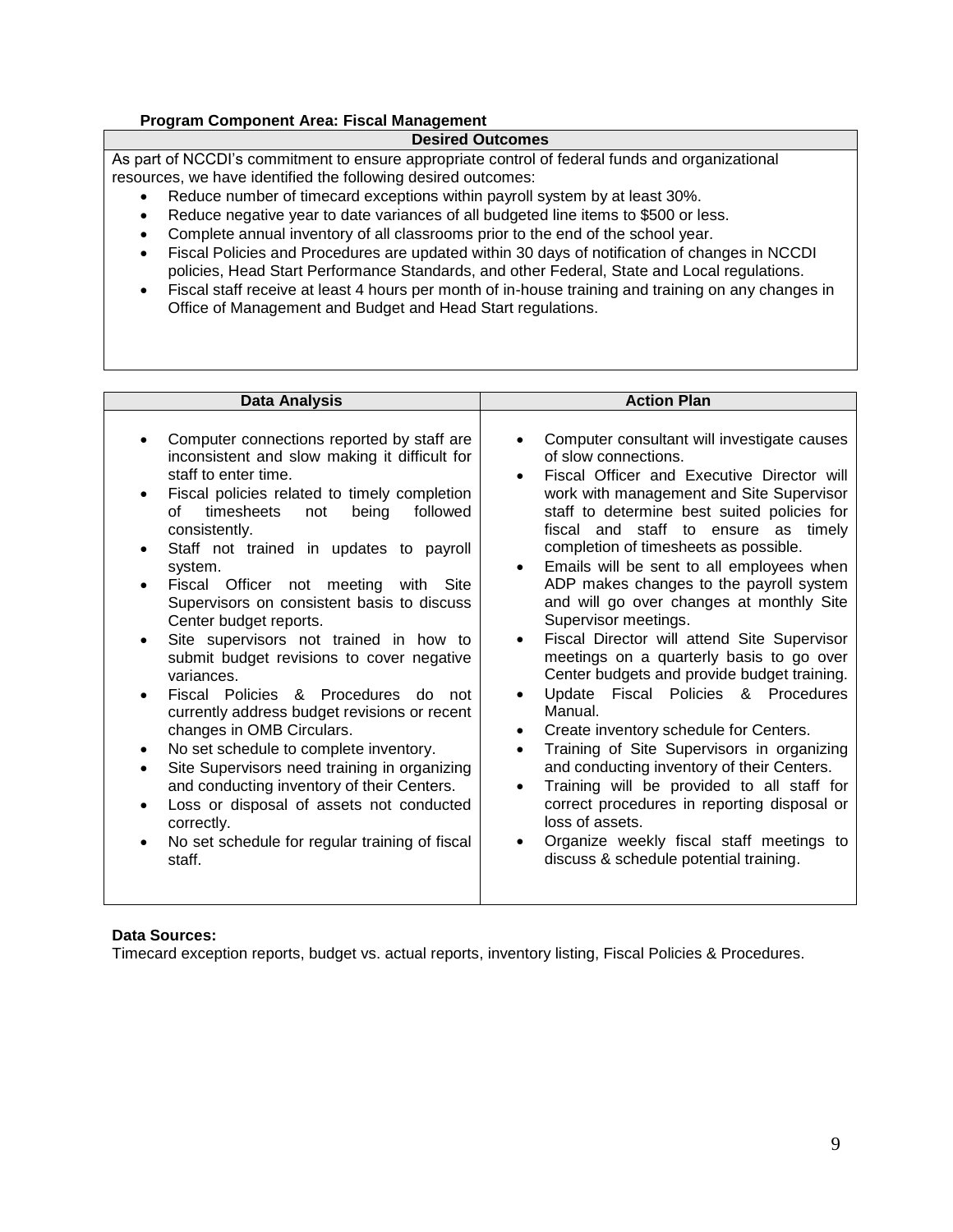#### **Program Component Area: Fiscal Management**

#### **Desired Outcomes**

As part of NCCDI's commitment to ensure appropriate control of federal funds and organizational resources, we have identified the following desired outcomes:

- Reduce number of timecard exceptions within payroll system by at least 30%.
- Reduce negative year to date variances of all budgeted line items to \$500 or less.
- Complete annual inventory of all classrooms prior to the end of the school year.
- Fiscal Policies and Procedures are updated within 30 days of notification of changes in NCCDI policies, Head Start Performance Standards, and other Federal, State and Local regulations.
- Fiscal staff receive at least 4 hours per month of in-house training and training on any changes in Office of Management and Budget and Head Start regulations.

| Data Analysis                                                                                                                                                                                                                                                                                                                                                                                                                                                                                                                                                                                                                                                                                                                                                                                                                                                                                                                                                    | <b>Action Plan</b>                                                                                                                                                                                                                                                                                                                                                                                                                                                                                                                                                                                                                                                                                                                                                                                                                                                                                                                                                                                                                                                              |
|------------------------------------------------------------------------------------------------------------------------------------------------------------------------------------------------------------------------------------------------------------------------------------------------------------------------------------------------------------------------------------------------------------------------------------------------------------------------------------------------------------------------------------------------------------------------------------------------------------------------------------------------------------------------------------------------------------------------------------------------------------------------------------------------------------------------------------------------------------------------------------------------------------------------------------------------------------------|---------------------------------------------------------------------------------------------------------------------------------------------------------------------------------------------------------------------------------------------------------------------------------------------------------------------------------------------------------------------------------------------------------------------------------------------------------------------------------------------------------------------------------------------------------------------------------------------------------------------------------------------------------------------------------------------------------------------------------------------------------------------------------------------------------------------------------------------------------------------------------------------------------------------------------------------------------------------------------------------------------------------------------------------------------------------------------|
| Computer connections reported by staff are<br>$\bullet$<br>inconsistent and slow making it difficult for<br>staff to enter time.<br>Fiscal policies related to timely completion<br>timesheets<br>followed<br>of<br>being<br>not<br>consistently.<br>Staff not trained in updates to payroll<br>$\bullet$<br>system.<br>Fiscal Officer not meeting with Site<br>Supervisors on consistent basis to discuss<br>Center budget reports.<br>Site supervisors not trained in how to<br>$\bullet$<br>submit budget revisions to cover negative<br>variances.<br>Fiscal Policies & Procedures<br>do<br>not<br>$\bullet$<br>currently address budget revisions or recent<br>changes in OMB Circulars.<br>No set schedule to complete inventory.<br>٠<br>Site Supervisors need training in organizing<br>and conducting inventory of their Centers.<br>Loss or disposal of assets not conducted<br>correctly.<br>No set schedule for regular training of fiscal<br>staff. | Computer consultant will investigate causes<br>$\bullet$<br>of slow connections.<br>Fiscal Officer and Executive Director will<br>$\bullet$<br>work with management and Site Supervisor<br>staff to determine best suited policies for<br>fiscal and staff to ensure as timely<br>completion of timesheets as possible.<br>Emails will be sent to all employees when<br>$\bullet$<br>ADP makes changes to the payroll system<br>and will go over changes at monthly Site<br>Supervisor meetings.<br>Fiscal Director will attend Site Supervisor<br>$\bullet$<br>meetings on a quarterly basis to go over<br>Center budgets and provide budget training.<br>Update Fiscal Policies & Procedures<br>Manual.<br>Create inventory schedule for Centers.<br>$\bullet$<br>Training of Site Supervisors in organizing<br>and conducting inventory of their Centers.<br>Training will be provided to all staff for<br>$\bullet$<br>correct procedures in reporting disposal or<br>loss of assets.<br>Organize weekly fiscal staff meetings to<br>discuss & schedule potential training. |

#### **Data Sources:**

Timecard exception reports, budget vs. actual reports, inventory listing, Fiscal Policies & Procedures.